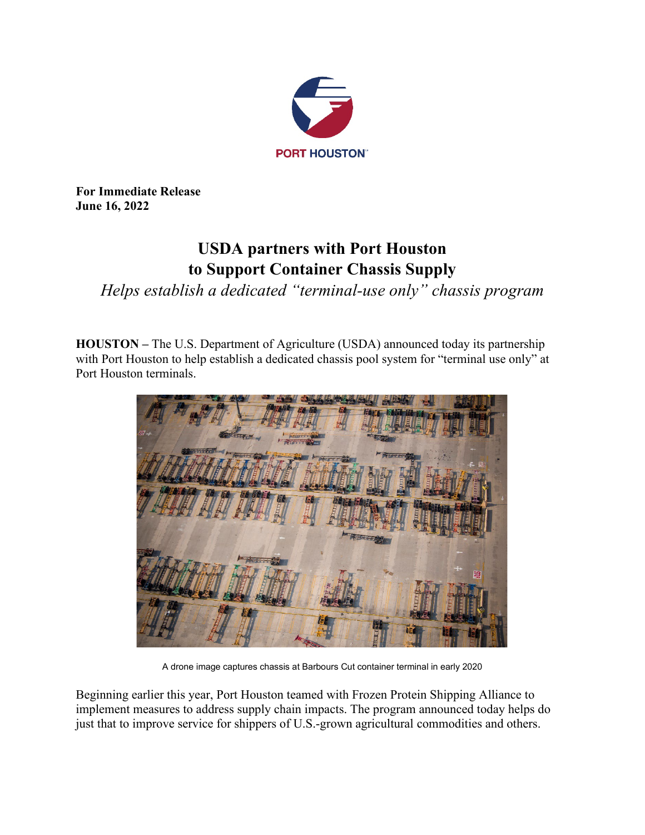

**For Immediate Release June 16, 2022**

## **USDA partners with Port Houston to Support Container Chassis Supply**

*Helps establish a dedicated "terminal-use only" chassis program*

**HOUSTON –** The U.S. Department of Agriculture (USDA) announced today its partnership with Port Houston to help establish a dedicated chassis pool system for "terminal use only" at Port Houston terminals.



A drone image captures chassis at Barbours Cut container terminal in early 2020

Beginning earlier this year, Port Houston teamed with Frozen Protein Shipping Alliance to implement measures to address supply chain impacts. The program announced today helps do just that to improve service for shippers of U.S.-grown agricultural commodities and others.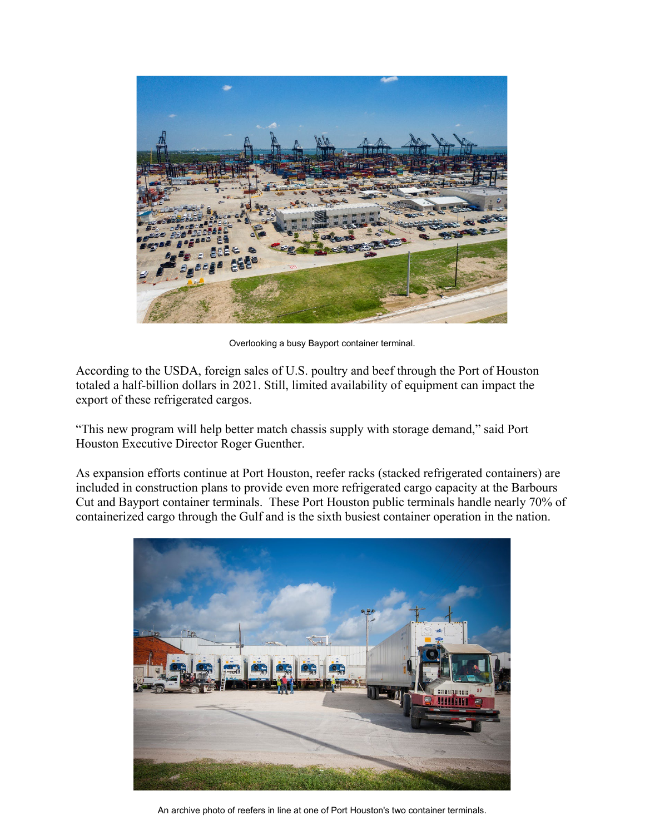

Overlooking a busy Bayport container terminal.

According to the USDA, foreign sales of U.S. poultry and beef through the Port of Houston totaled a half-billion dollars in 2021. Still, limited availability of equipment can impact the export of these refrigerated cargos.

"This new program will help better match chassis supply with storage demand," said Port Houston Executive Director Roger Guenther.

As expansion efforts continue at Port Houston, reefer racks (stacked refrigerated containers) are included in construction plans to provide even more refrigerated cargo capacity at the Barbours Cut and Bayport container terminals. These Port Houston public terminals handle nearly 70% of containerized cargo through the Gulf and is the sixth busiest container operation in the nation.



An archive photo of reefers in line at one of Port Houston's two container terminals.